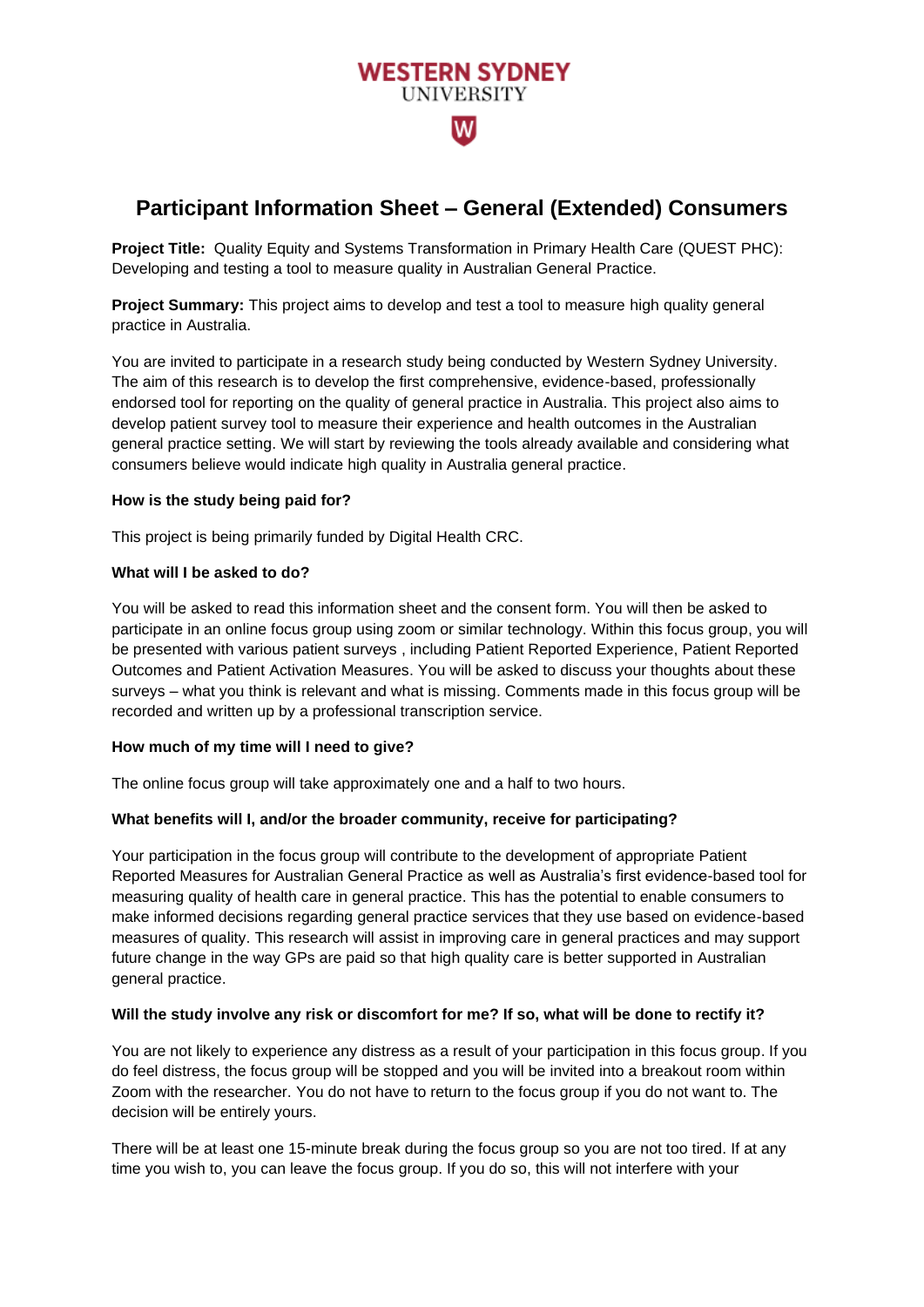# **WESTERN SYDNEY UNIVERSITY** wl

## **Participant Information Sheet – General (Extended) Consumers**

**Project Title:** Quality Equity and Systems Transformation in Primary Health Care (QUEST PHC): Developing and testing a tool to measure quality in Australian General Practice.

**Project Summary:** This project aims to develop and test a tool to measure high quality general practice in Australia.

You are invited to participate in a research study being conducted by Western Sydney University. The aim of this research is to develop the first comprehensive, evidence-based, professionally endorsed tool for reporting on the quality of general practice in Australia. This project also aims to develop patient survey tool to measure their experience and health outcomes in the Australian general practice setting. We will start by reviewing the tools already available and considering what consumers believe would indicate high quality in Australia general practice.

## **How is the study being paid for?**

This project is being primarily funded by Digital Health CRC.

#### **What will I be asked to do?**

You will be asked to read this information sheet and the consent form. You will then be asked to participate in an online focus group using zoom or similar technology. Within this focus group, you will be presented with various patient surveys , including Patient Reported Experience, Patient Reported Outcomes and Patient Activation Measures. You will be asked to discuss your thoughts about these surveys – what you think is relevant and what is missing. Comments made in this focus group will be recorded and written up by a professional transcription service.

## **How much of my time will I need to give?**

The online focus group will take approximately one and a half to two hours.

## **What benefits will I, and/or the broader community, receive for participating?**

Your participation in the focus group will contribute to the development of appropriate Patient Reported Measures for Australian General Practice as well as Australia's first evidence-based tool for measuring quality of health care in general practice. This has the potential to enable consumers to make informed decisions regarding general practice services that they use based on evidence-based measures of quality. This research will assist in improving care in general practices and may support future change in the way GPs are paid so that high quality care is better supported in Australian general practice.

## **Will the study involve any risk or discomfort for me? If so, what will be done to rectify it?**

You are not likely to experience any distress as a result of your participation in this focus group. If you do feel distress, the focus group will be stopped and you will be invited into a breakout room within Zoom with the researcher. You do not have to return to the focus group if you do not want to. The decision will be entirely yours.

There will be at least one 15-minute break during the focus group so you are not too tired. If at any time you wish to, you can leave the focus group. If you do so, this will not interfere with your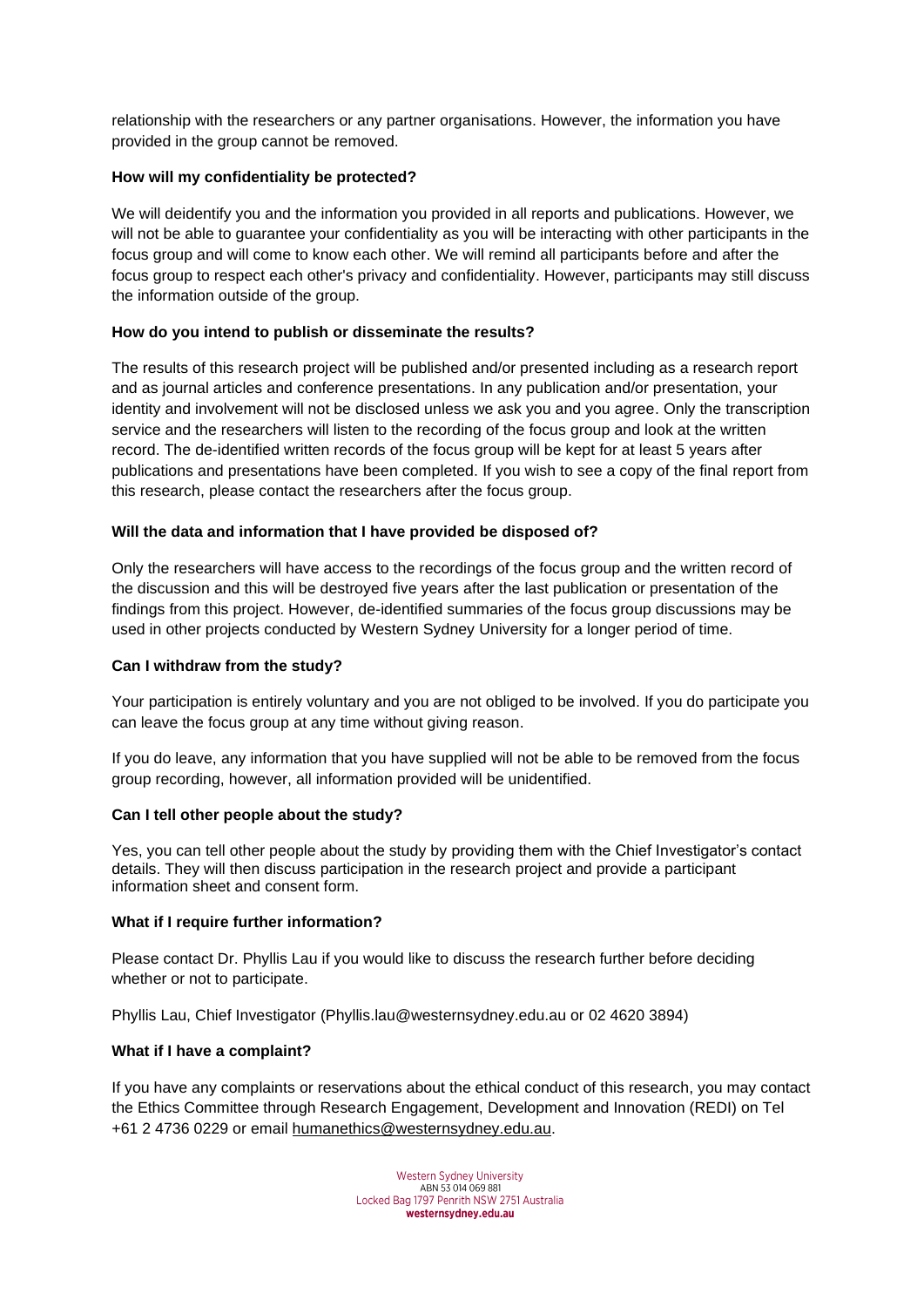relationship with the researchers or any partner organisations. However, the information you have provided in the group cannot be removed.

## **How will my confidentiality be protected?**

We will deidentify you and the information you provided in all reports and publications. However, we will not be able to guarantee your confidentiality as you will be interacting with other participants in the focus group and will come to know each other. We will remind all participants before and after the focus group to respect each other's privacy and confidentiality. However, participants may still discuss the information outside of the group.

## **How do you intend to publish or disseminate the results?**

The results of this research project will be published and/or presented including as a research report and as journal articles and conference presentations. In any publication and/or presentation, your identity and involvement will not be disclosed unless we ask you and you agree. Only the transcription service and the researchers will listen to the recording of the focus group and look at the written record. The de-identified written records of the focus group will be kept for at least 5 years after publications and presentations have been completed. If you wish to see a copy of the final report from this research, please contact the researchers after the focus group.

#### **Will the data and information that I have provided be disposed of?**

Only the researchers will have access to the recordings of the focus group and the written record of the discussion and this will be destroyed five years after the last publication or presentation of the findings from this project. However, de-identified summaries of the focus group discussions may be used in other projects conducted by Western Sydney University for a longer period of time.

#### **Can I withdraw from the study?**

Your participation is entirely voluntary and you are not obliged to be involved. If you do participate you can leave the focus group at any time without giving reason.

If you do leave, any information that you have supplied will not be able to be removed from the focus group recording, however, all information provided will be unidentified.

#### **Can I tell other people about the study?**

Yes, you can tell other people about the study by providing them with the Chief Investigator's contact details. They will then discuss participation in the research project and provide a participant information sheet and consent form.

#### **What if I require further information?**

Please contact Dr. Phyllis Lau if you would like to discuss the research further before deciding whether or not to participate.

Phyllis Lau, Chief Investigator (Phyllis.lau@westernsydney.edu.au or 02 4620 3894)

#### **What if I have a complaint?**

If you have any complaints or reservations about the ethical conduct of this research, you may contact the Ethics Committee through Research Engagement, Development and Innovation (REDI) on Tel +61 2 4736 0229 or email [humanethics@westernsydney.edu.au.](mailto:humanethics@westernsydney.edu.au)

> Western Sydney University ABN 53 014 069 881<br>Locked Bag 1797 Penrith NSW 2751 Australia westernsydney.edu.au